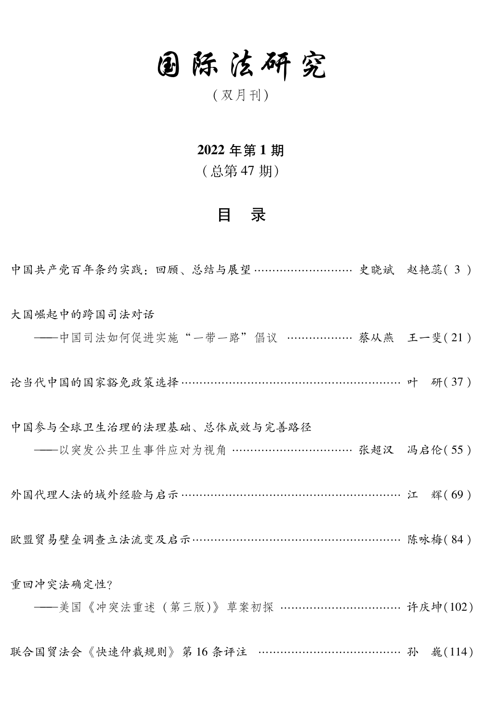## 固际法研究

(双月刊)

## 2022 年第1期

(总第47期)

## 目录

中国共产党百年条约实践: 回顾、总结与展望 ……………………… 史晓斌 赵艳蕊(3) 大国崛起中的跨国司法对话 ---中国司法如何促进实施"一带一路"倡议 ……………… 蔡从燕 王一斐(21) 论当代中国的国家豁免政策选择 …………………………………………………… 叶 研(37) 中国参与全球卫生治理的法理基础、总体成效与完善路径 ——以 突 发 公 共 卫 生 事 件 应 对 为 视 角 ……………………………… 张 超 汉 冯 启 伦 (55) 外国代理人法的域外经验与启示 …………………………………………………… 江 辉(69) 欧盟贸易壁垒调查立法流变及启示……………………………………………… 陈咏梅(84) 重回冲突法确定性? ——美国《冲突法重述 (第三版)》草案初探 …………………………… 许庆坤(102) 联合国贸法会《快速仲裁规则》第16条评注 ………………………………… 孙 巍(114)